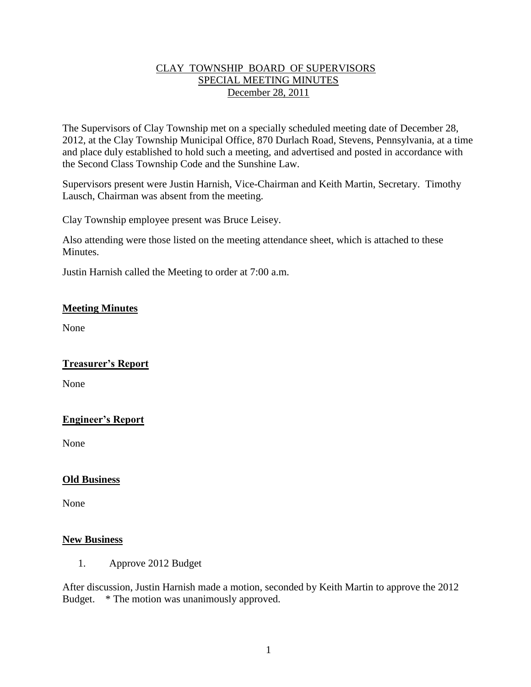## CLAY TOWNSHIP BOARD OF SUPERVISORS SPECIAL MEETING MINUTES December 28, 2011

The Supervisors of Clay Township met on a specially scheduled meeting date of December 28, 2012, at the Clay Township Municipal Office, 870 Durlach Road, Stevens, Pennsylvania, at a time and place duly established to hold such a meeting, and advertised and posted in accordance with the Second Class Township Code and the Sunshine Law.

Supervisors present were Justin Harnish, Vice-Chairman and Keith Martin, Secretary. Timothy Lausch, Chairman was absent from the meeting.

Clay Township employee present was Bruce Leisey.

Also attending were those listed on the meeting attendance sheet, which is attached to these Minutes.

Justin Harnish called the Meeting to order at 7:00 a.m.

### **Meeting Minutes**

None

#### **Treasurer's Report**

None

## **Engineer's Report**

None

#### **Old Business**

None

#### **New Business**

1. Approve 2012 Budget

After discussion, Justin Harnish made a motion, seconded by Keith Martin to approve the 2012 Budget. \* The motion was unanimously approved.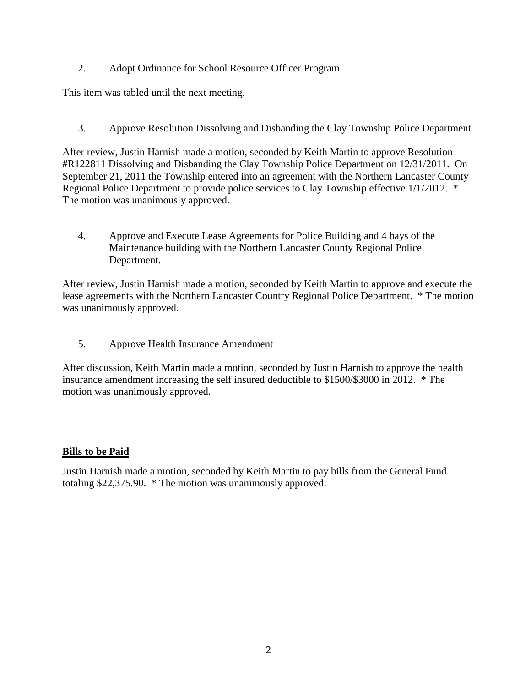2. Adopt Ordinance for School Resource Officer Program

This item was tabled until the next meeting.

3. Approve Resolution Dissolving and Disbanding the Clay Township Police Department

After review, Justin Harnish made a motion, seconded by Keith Martin to approve Resolution #R122811 Dissolving and Disbanding the Clay Township Police Department on 12/31/2011. On September 21, 2011 the Township entered into an agreement with the Northern Lancaster County Regional Police Department to provide police services to Clay Township effective 1/1/2012. \* The motion was unanimously approved.

4. Approve and Execute Lease Agreements for Police Building and 4 bays of the Maintenance building with the Northern Lancaster County Regional Police Department.

After review, Justin Harnish made a motion, seconded by Keith Martin to approve and execute the lease agreements with the Northern Lancaster Country Regional Police Department. \* The motion was unanimously approved.

5. Approve Health Insurance Amendment

After discussion, Keith Martin made a motion, seconded by Justin Harnish to approve the health insurance amendment increasing the self insured deductible to \$1500/\$3000 in 2012. \* The motion was unanimously approved.

#### **Bills to be Paid**

Justin Harnish made a motion, seconded by Keith Martin to pay bills from the General Fund totaling \$22,375.90. \* The motion was unanimously approved.